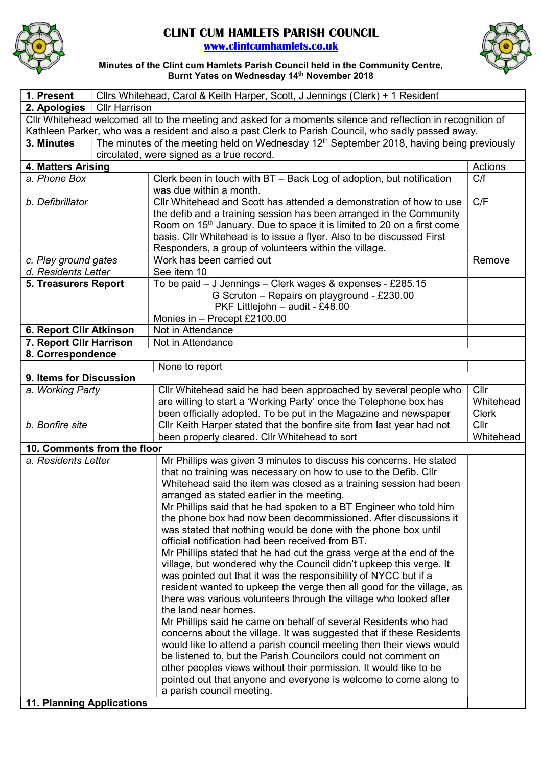

## CLINT CUM HAMLETS PARISH COUNCIL

www.clintcumhamlets.co.uk



Minutes of the Clint cum Hamlets Parish Council held in the Community Centre, Burnt Yates on Wednesday 14<sup>th</sup> November 2018

| 1. Present                                                                                                  | Cllrs Whitehead, Carol & Keith Harper, Scott, J Jennings (Clerk) + 1 Resident |                                                                                                       |              |
|-------------------------------------------------------------------------------------------------------------|-------------------------------------------------------------------------------|-------------------------------------------------------------------------------------------------------|--------------|
| 2. Apologies                                                                                                | <b>Cllr Harrison</b>                                                          |                                                                                                       |              |
| Cllr Whitehead welcomed all to the meeting and asked for a moments silence and reflection in recognition of |                                                                               |                                                                                                       |              |
| Kathleen Parker, who was a resident and also a past Clerk to Parish Council, who sadly passed away.         |                                                                               |                                                                                                       |              |
| 3. Minutes                                                                                                  |                                                                               | The minutes of the meeting held on Wednesday 12 <sup>th</sup> September 2018, having being previously |              |
|                                                                                                             |                                                                               | circulated, were signed as a true record.                                                             |              |
| 4. Matters Arising                                                                                          |                                                                               |                                                                                                       | Actions      |
| a. Phone Box                                                                                                |                                                                               | Clerk been in touch with BT - Back Log of adoption, but notification                                  | C/f          |
|                                                                                                             |                                                                               | was due within a month.                                                                               |              |
| b. Defibrillator                                                                                            |                                                                               | Cllr Whitehead and Scott has attended a demonstration of how to use                                   | C/F          |
|                                                                                                             |                                                                               | the defib and a training session has been arranged in the Community                                   |              |
|                                                                                                             |                                                                               | Room on 15 <sup>th</sup> January. Due to space it is limited to 20 on a first come                    |              |
|                                                                                                             |                                                                               | basis. Cllr Whitehead is to issue a flyer. Also to be discussed First                                 |              |
|                                                                                                             |                                                                               | Responders, a group of volunteers within the village.                                                 |              |
| c. Play ground gates                                                                                        |                                                                               | Work has been carried out                                                                             | Remove       |
| d. Residents Letter                                                                                         |                                                                               | See item 10                                                                                           |              |
| <b>5. Treasurers Report</b>                                                                                 |                                                                               | To be paid - J Jennings - Clerk wages & expenses - £285.15                                            |              |
|                                                                                                             |                                                                               | G Scruton - Repairs on playground - £230.00                                                           |              |
|                                                                                                             |                                                                               | PKF Littlejohn - audit - £48.00                                                                       |              |
|                                                                                                             |                                                                               | Monies in - Precept £2100.00                                                                          |              |
| 6. Report Cllr Atkinson                                                                                     |                                                                               | Not in Attendance                                                                                     |              |
| 7. Report Cllr Harrison                                                                                     |                                                                               | Not in Attendance                                                                                     |              |
| 8. Correspondence                                                                                           |                                                                               |                                                                                                       |              |
|                                                                                                             |                                                                               | None to report                                                                                        |              |
| 9. Items for Discussion                                                                                     |                                                                               |                                                                                                       |              |
| a. Working Party                                                                                            |                                                                               | Cllr Whitehead said he had been approached by several people who                                      | Cllr         |
|                                                                                                             |                                                                               | are willing to start a 'Working Party' once the Telephone box has                                     | Whitehead    |
|                                                                                                             |                                                                               | been officially adopted. To be put in the Magazine and newspaper                                      | <b>Clerk</b> |
| b. Bonfire site                                                                                             |                                                                               | Cllr Keith Harper stated that the bonfire site from last year had not                                 | Cllr         |
|                                                                                                             |                                                                               | been properly cleared. Cllr Whitehead to sort                                                         | Whitehead    |
| 10. Comments from the floor                                                                                 |                                                                               |                                                                                                       |              |
| a. Residents Letter                                                                                         |                                                                               | Mr Phillips was given 3 minutes to discuss his concerns. He stated                                    |              |
|                                                                                                             |                                                                               | that no training was necessary on how to use to the Defib. Cllr                                       |              |
|                                                                                                             |                                                                               | Whitehead said the item was closed as a training session had been                                     |              |
|                                                                                                             |                                                                               | arranged as stated earlier in the meeting.                                                            |              |
|                                                                                                             |                                                                               | Mr Phillips said that he had spoken to a BT Engineer who told him                                     |              |
|                                                                                                             |                                                                               | the phone box had now been decommissioned. After discussions it                                       |              |
|                                                                                                             |                                                                               | was stated that nothing would be done with the phone box until                                        |              |
|                                                                                                             |                                                                               | official notification had been received from BT.                                                      |              |
|                                                                                                             |                                                                               | Mr Phillips stated that he had cut the grass verge at the end of the                                  |              |
|                                                                                                             |                                                                               | village, but wondered why the Council didn't upkeep this verge. It                                    |              |
|                                                                                                             |                                                                               | was pointed out that it was the responsibility of NYCC but if a                                       |              |
|                                                                                                             |                                                                               | resident wanted to upkeep the verge then all good for the village, as                                 |              |
|                                                                                                             |                                                                               | there was various volunteers through the village who looked after                                     |              |
|                                                                                                             |                                                                               | the land near homes.                                                                                  |              |
|                                                                                                             |                                                                               | Mr Phillips said he came on behalf of several Residents who had                                       |              |
|                                                                                                             |                                                                               | concerns about the village. It was suggested that if these Residents                                  |              |
|                                                                                                             |                                                                               | would like to attend a parish council meeting then their views would                                  |              |
|                                                                                                             |                                                                               | be listened to, but the Parish Councilors could not comment on                                        |              |
|                                                                                                             |                                                                               | other peoples views without their permission. It would like to be                                     |              |
|                                                                                                             |                                                                               | pointed out that anyone and everyone is welcome to come along to                                      |              |
|                                                                                                             |                                                                               | a parish council meeting.                                                                             |              |
| <b>11. Planning Applications</b>                                                                            |                                                                               |                                                                                                       |              |